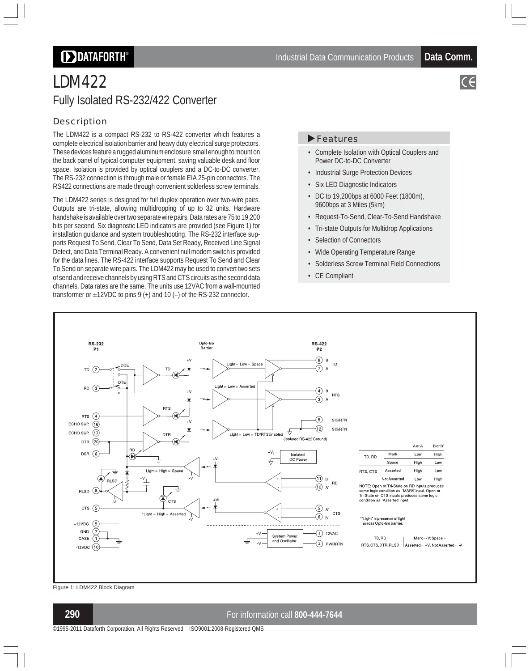# **DDATAFORTH**®

# LDM422 Fully Isolated RS-232/422 Converter

## Description

The LDM422 is a compact RS-232 to RS-422 converter which features a complete electrical isolation barrier and heavy duty electrical surge protectors. These devices feature a rugged aluminum enclosure small enough to mount on the back panel of typical computer equipment, saving valuable desk and floor space. Isolation is provided by optical couplers and a DC-to-DC converter. The RS-232 connection is through male or female EIA 25-pin connectors. The RS422 connections are made through convenient solderless screw terminals.

The LDM422 series is designed for full duplex operation over two-wire pairs. Outputs are tri-state, allowing multidropping of up to 32 units. Hardware handshake is available over two separate wire pairs. Data rates are 75 to 19,200 bits per second. Six diagnostic LED indicators are provided (see Figure 1) for installation guidance and system troubleshooting. The RS-232 interface supports Request To Send, Clear To Send, Data Set Ready, Received Line Signal Detect, and Data Terminal Ready. A convenient null modem switch is provided for the data lines. The RS-422 interface supports Request To Send and Clear To Send on separate wire pairs. The LDM422 may be used to convert two sets of send and receive channels by using RTS and CTS circuits as the second data channels. Data rates are the same. The units use 12VAC from a wall-mounted transformer or  $\pm$ 12VDC to pins 9 (+) and 10 (-) of the RS-232 connector.

#### **Features**

- Complete Isolation with Optical Couplers and Power DC-to-DC Converter
- Industrial Surge Protection Devices
- Six LED Diagnostic Indicators
- DC to 19,200bps at 6000 Feet (1800m), 9600bps at 3 Miles (5km)
- Request-To-Send, Clear-To-Send Handshake
- Tri-state Outputs for Multidrop Applications
- Selection of Connectors
- Wide Operating Temperature Range
- Solderless Screw Terminal Field Connections
- CE Compliant



Figure 1: LDM422 Block Diagram